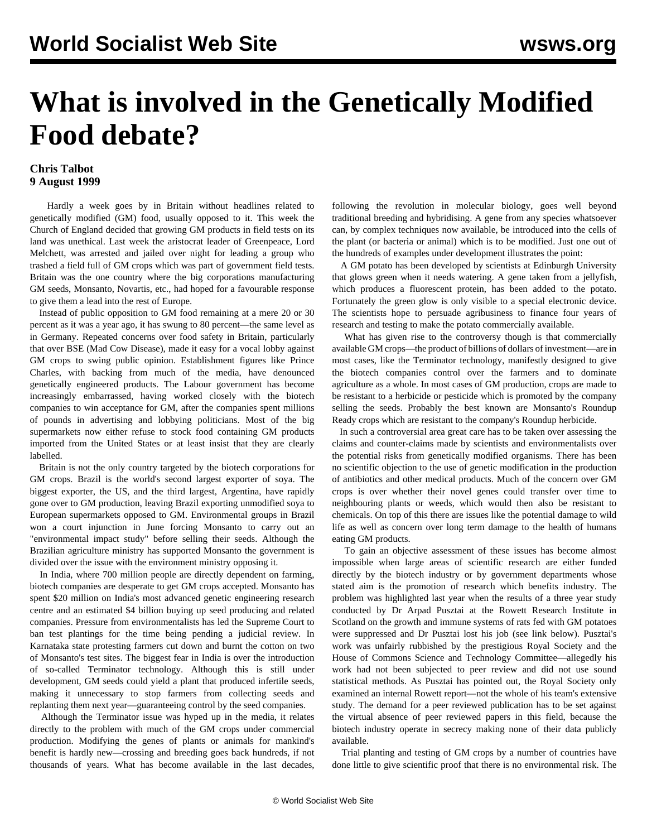## **What is involved in the Genetically Modified Food debate?**

## **Chris Talbot 9 August 1999**

 Hardly a week goes by in Britain without headlines related to genetically modified (GM) food, usually opposed to it. This week the Church of England decided that growing GM products in field tests on its land was unethical. Last week the aristocrat leader of Greenpeace, Lord Melchett, was arrested and jailed over night for leading a group who trashed a field full of GM crops which was part of government field tests. Britain was the one country where the big corporations manufacturing GM seeds, Monsanto, Novartis, etc., had hoped for a favourable response to give them a lead into the rest of Europe.

 Instead of public opposition to GM food remaining at a mere 20 or 30 percent as it was a year ago, it has swung to 80 percent—the same level as in Germany. Repeated concerns over food safety in Britain, particularly that over BSE (Mad Cow Disease), made it easy for a vocal lobby against GM crops to swing public opinion. Establishment figures like Prince Charles, with backing from much of the media, have denounced genetically engineered products. The Labour government has become increasingly embarrassed, having worked closely with the biotech companies to win acceptance for GM, after the companies spent millions of pounds in advertising and lobbying politicians. Most of the big supermarkets now either refuse to stock food containing GM products imported from the United States or at least insist that they are clearly labelled.

 Britain is not the only country targeted by the biotech corporations for GM crops. Brazil is the world's second largest exporter of soya. The biggest exporter, the US, and the third largest, Argentina, have rapidly gone over to GM production, leaving Brazil exporting unmodified soya to European supermarkets opposed to GM. Environmental groups in Brazil won a court injunction in June forcing Monsanto to carry out an "environmental impact study" before selling their seeds. Although the Brazilian agriculture ministry has supported Monsanto the government is divided over the issue with the environment ministry opposing it.

 In India, where 700 million people are directly dependent on farming, biotech companies are desperate to get GM crops accepted. Monsanto has spent \$20 million on India's most advanced genetic engineering research centre and an estimated \$4 billion buying up seed producing and related companies. Pressure from environmentalists has led the Supreme Court to ban test plantings for the time being pending a judicial review. In Karnataka state protesting farmers cut down and burnt the cotton on two of Monsanto's test sites. The biggest fear in India is over the introduction of so-called Terminator technology. Although this is still under development, GM seeds could yield a plant that produced infertile seeds, making it unnecessary to stop farmers from collecting seeds and replanting them next year—guaranteeing control by the seed companies.

 Although the Terminator issue was hyped up in the media, it relates directly to the problem with much of the GM crops under commercial production. Modifying the genes of plants or animals for mankind's benefit is hardly new—crossing and breeding goes back hundreds, if not thousands of years. What has become available in the last decades, following the revolution in molecular biology, goes well beyond traditional breeding and hybridising. A gene from any species whatsoever can, by complex techniques now available, be introduced into the cells of the plant (or bacteria or animal) which is to be modified. Just one out of the hundreds of examples under development illustrates the point:

 A GM potato has been developed by scientists at Edinburgh University that glows green when it needs watering. A gene taken from a jellyfish, which produces a fluorescent protein, has been added to the potato. Fortunately the green glow is only visible to a special electronic device. The scientists hope to persuade agribusiness to finance four years of research and testing to make the potato commercially available.

 What has given rise to the controversy though is that commercially available GM crops—the product of billions of dollars of investment—are in most cases, like the Terminator technology, manifestly designed to give the biotech companies control over the farmers and to dominate agriculture as a whole. In most cases of GM production, crops are made to be resistant to a herbicide or pesticide which is promoted by the company selling the seeds. Probably the best known are Monsanto's Roundup Ready crops which are resistant to the company's Roundup herbicide.

 In such a controversial area great care has to be taken over assessing the claims and counter-claims made by scientists and environmentalists over the potential risks from genetically modified organisms. There has been no scientific objection to the use of genetic modification in the production of antibiotics and other medical products. Much of the concern over GM crops is over whether their novel genes could transfer over time to neighbouring plants or weeds, which would then also be resistant to chemicals. On top of this there are issues like the potential damage to wild life as well as concern over long term damage to the health of humans eating GM products.

 To gain an objective assessment of these issues has become almost impossible when large areas of scientific research are either funded directly by the biotech industry or by government departments whose stated aim is the promotion of research which benefits industry. The problem was highlighted last year when the results of a three year study conducted by Dr Arpad Pusztai at the Rowett Research Institute in Scotland on the growth and immune systems of rats fed with GM potatoes were suppressed and Dr Pusztai lost his job (see link below). Pusztai's work was unfairly rubbished by the prestigious Royal Society and the House of Commons Science and Technology Committee—allegedly his work had not been subjected to peer review and did not use sound statistical methods. As Pusztai has pointed out, the Royal Society only examined an internal Rowett report—not the whole of his team's extensive study. The demand for a peer reviewed publication has to be set against the virtual absence of peer reviewed papers in this field, because the biotech industry operate in secrecy making none of their data publicly available.

 Trial planting and testing of GM crops by a number of countries have done little to give scientific proof that there is no environmental risk. The